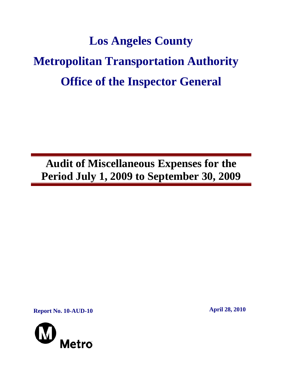# **Los Angeles County Metropolitan Transportation Authority Office of the Inspector General**

**Audit of Miscellaneous Expenses for the Period July 1, 2009 to September 30, 2009** 

**Report No. 10-AUD-10 April 28, 2010** 

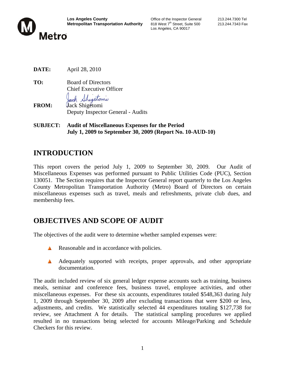

Los Angeles, CA 90017

**DATE:** April 28, 2010

**TO:** Board of Directors Chief Executive Officer b Sheptomy

- **FROM:** Jack Shigetomi Deputy Inspector General - Audits
- **SUBJECT: Audit of Miscellaneous Expenses for the Period July 1, 2009 to September 30, 2009 (Report No. 10-AUD-10)**

# **INTRODUCTION**

This report covers the period July 1, 2009 to September 30, 2009. Our Audit of Miscellaneous Expenses was performed pursuant to Public Utilities Code (PUC), Section 130051. The Section requires that the Inspector General report quarterly to the Los Angeles County Metropolitan Transportation Authority (Metro) Board of Directors on certain miscellaneous expenses such as travel, meals and refreshments, private club dues, and membership fees.

# **OBJECTIVES AND SCOPE OF AUDIT**

The objectives of the audit were to determine whether sampled expenses were:

- Reasonable and in accordance with policies.
- A Adequately supported with receipts, proper approvals, and other appropriate documentation.

The audit included review of six general ledger expense accounts such as training, business meals, seminar and conference fees, business travel, employee activities, and other miscellaneous expenses. For these six accounts, expenditures totaled \$548,363 during July 1, 2009 through September 30, 2009 after excluding transactions that were \$200 or less, adjustments, and credits. We statistically selected 44 expenditures totaling \$127,738 for review, see Attachment A for details. The statistical sampling procedures we applied resulted in no transactions being selected for accounts Mileage/Parking and Schedule Checkers for this review.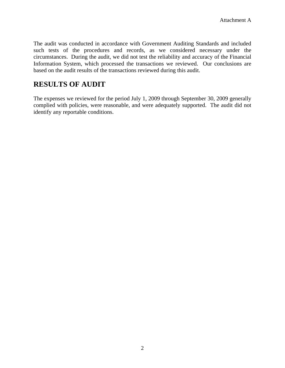The audit was conducted in accordance with Government Auditing Standards and included such tests of the procedures and records, as we considered necessary under the circumstances. During the audit, we did not test the reliability and accuracy of the Financial Information System, which processed the transactions we reviewed. Our conclusions are based on the audit results of the transactions reviewed during this audit.

#### **RESULTS OF AUDIT**

The expenses we reviewed for the period July 1, 2009 through September 30, 2009 generally complied with policies, were reasonable, and were adequately supported. The audit did not identify any reportable conditions.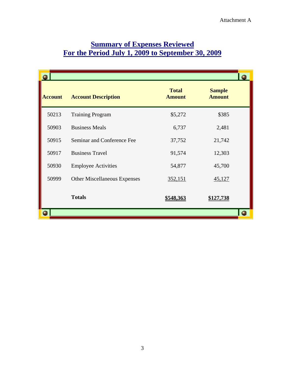| <b>Account</b> | <b>Account Description</b>          | <b>Total</b><br><b>Amount</b> | <b>Sample</b><br><b>Amount</b> |  |
|----------------|-------------------------------------|-------------------------------|--------------------------------|--|
| 50213          | <b>Training Program</b>             | \$5,272                       | \$385                          |  |
| 50903          | <b>Business Meals</b>               | 6,737                         | 2,481                          |  |
| 50915          | Seminar and Conference Fee          | 37,752                        | 21,742                         |  |
| 50917          | <b>Business Travel</b>              | 91,574                        | 12,303                         |  |
| 50930          | <b>Employee Activities</b>          | 54,877                        | 45,700                         |  |
| 50999          | <b>Other Miscellaneous Expenses</b> | 352,151                       | 45,127                         |  |
|                | <b>Totals</b>                       | <u>\$548,363</u>              | \$127,738                      |  |
|                |                                     |                               |                                |  |

#### **Summary of Expenses Reviewed For the Period July 1, 2009 to September 30, 2009**